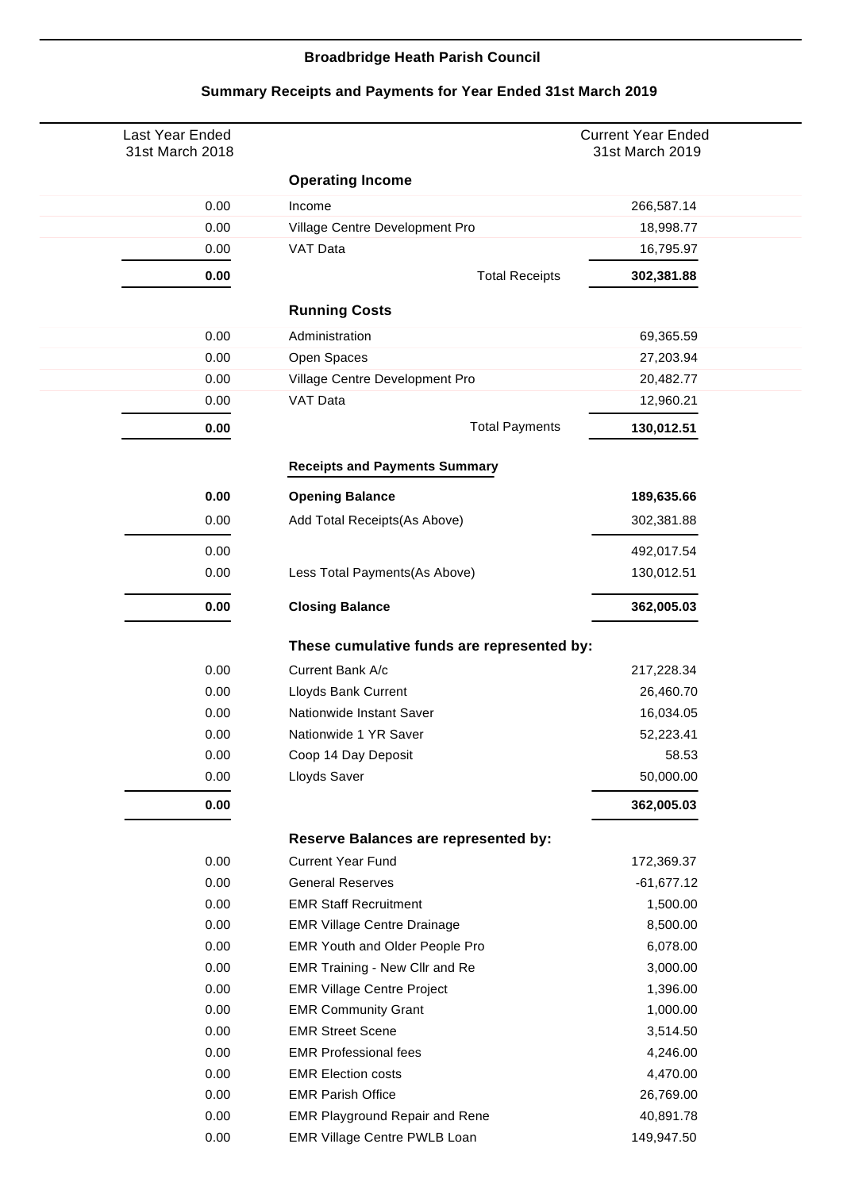## **Broadbridge Heath Parish Council**

| Last Year Ended<br>31st March 2018 |                                            | <b>Current Year Ended</b><br>31st March 2019 |
|------------------------------------|--------------------------------------------|----------------------------------------------|
|                                    | <b>Operating Income</b>                    |                                              |
| 0.00                               | Income                                     | 266,587.14                                   |
| 0.00                               | Village Centre Development Pro             | 18,998.77                                    |
| 0.00                               | VAT Data                                   | 16,795.97                                    |
| 0.00                               | <b>Total Receipts</b>                      | 302,381.88                                   |
|                                    | <b>Running Costs</b>                       |                                              |
| 0.00                               | Administration                             | 69,365.59                                    |
| 0.00                               | Open Spaces                                | 27,203.94                                    |
| 0.00                               | Village Centre Development Pro             | 20,482.77                                    |
| 0.00                               | VAT Data                                   | 12,960.21                                    |
| 0.00                               | <b>Total Payments</b>                      | 130,012.51                                   |
|                                    | <b>Receipts and Payments Summary</b>       |                                              |
| 0.00                               | <b>Opening Balance</b>                     | 189,635.66                                   |
| 0.00                               | Add Total Receipts(As Above)               | 302,381.88                                   |
| 0.00                               |                                            | 492,017.54                                   |
| 0.00                               | Less Total Payments(As Above)              | 130,012.51                                   |
| 0.00                               | <b>Closing Balance</b>                     | 362,005.03                                   |
|                                    | These cumulative funds are represented by: |                                              |
| 0.00                               | Current Bank A/c                           | 217,228.34                                   |
| 0.00                               | Lloyds Bank Current                        | 26,460.70                                    |
| 0.00                               | Nationwide Instant Saver                   | 16,034.05                                    |
| 0.00                               | Nationwide 1 YR Saver                      | 52,223.41                                    |
| 0.00                               | Coop 14 Day Deposit                        | 58.53                                        |
| 0.00                               | Lloyds Saver                               | 50,000.00                                    |
| 0.00                               |                                            | 362,005.03                                   |
|                                    | Reserve Balances are represented by:       |                                              |
| 0.00                               | <b>Current Year Fund</b>                   | 172,369.37                                   |
| 0.00                               | <b>General Reserves</b>                    | -61,677.12                                   |
| 0.00                               | <b>EMR Staff Recruitment</b>               | 1,500.00                                     |
| 0.00                               | <b>EMR Village Centre Drainage</b>         | 8,500.00                                     |
| 0.00                               | EMR Youth and Older People Pro             | 6,078.00                                     |
| 0.00                               | <b>EMR Training - New Cllr and Re</b>      | 3,000.00                                     |
| 0.00                               | <b>EMR Village Centre Project</b>          | 1,396.00                                     |
| 0.00                               | <b>EMR Community Grant</b>                 | 1,000.00                                     |
| 0.00                               | <b>EMR Street Scene</b>                    | 3,514.50                                     |
| 0.00                               | <b>EMR Professional fees</b>               | 4,246.00                                     |
| 0.00                               | <b>EMR Election costs</b>                  | 4,470.00                                     |
| 0.00                               | <b>EMR Parish Office</b>                   | 26,769.00                                    |
| 0.00                               | <b>EMR Playground Repair and Rene</b>      | 40,891.78                                    |
| 0.00                               | EMR Village Centre PWLB Loan               | 149,947.50                                   |

## **Summary Receipts and Payments for Year Ended 31st March 2019**